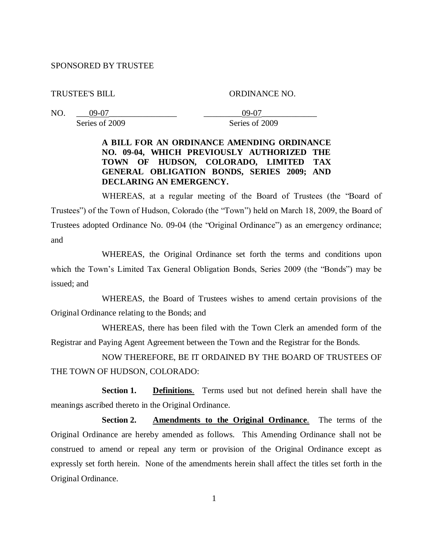## SPONSORED BY TRUSTEE

TRUSTEE'S BILL ORDINANCE NO.

NO. \_\_\_09-07\_\_\_\_\_\_\_\_\_\_\_\_\_\_\_\_ \_\_\_\_\_\_\_\_\_09-07\_\_\_\_\_\_\_\_\_\_\_\_\_ Series of 2009 Series of 2009

## **A BILL FOR AN ORDINANCE AMENDING ORDINANCE NO. 09-04, WHICH PREVIOUSLY AUTHORIZED THE TOWN OF HUDSON, COLORADO, LIMITED TAX GENERAL OBLIGATION BONDS, SERIES 2009; AND DECLARING AN EMERGENCY.**

WHEREAS, at a regular meeting of the Board of Trustees (the "Board of Trustees") of the Town of Hudson, Colorado (the "Town") held on March 18, 2009, the Board of Trustees adopted Ordinance No. 09-04 (the "Original Ordinance") as an emergency ordinance; and

WHEREAS, the Original Ordinance set forth the terms and conditions upon which the Town's Limited Tax General Obligation Bonds, Series 2009 (the "Bonds") may be issued; and

WHEREAS, the Board of Trustees wishes to amend certain provisions of the Original Ordinance relating to the Bonds; and

WHEREAS, there has been filed with the Town Clerk an amended form of the Registrar and Paying Agent Agreement between the Town and the Registrar for the Bonds.

NOW THEREFORE, BE IT ORDAINED BY THE BOARD OF TRUSTEES OF THE TOWN OF HUDSON, COLORADO:

**Section 1. Definitions**. Terms used but not defined herein shall have the meanings ascribed thereto in the Original Ordinance.

**Section 2. Amendments to the Original Ordinance**. The terms of the Original Ordinance are hereby amended as follows. This Amending Ordinance shall not be construed to amend or repeal any term or provision of the Original Ordinance except as expressly set forth herein. None of the amendments herein shall affect the titles set forth in the Original Ordinance.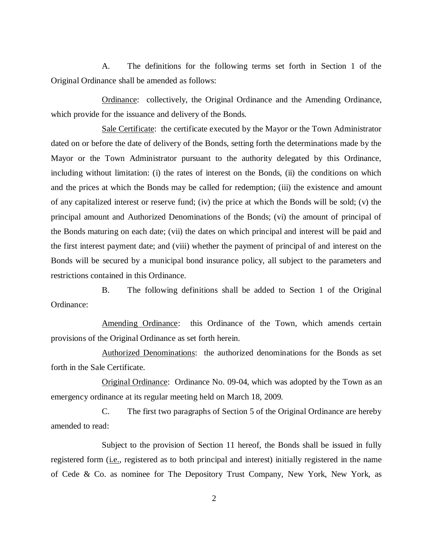A. The definitions for the following terms set forth in Section 1 of the Original Ordinance shall be amended as follows:

Ordinance: collectively, the Original Ordinance and the Amending Ordinance, which provide for the issuance and delivery of the Bonds.

Sale Certificate: the certificate executed by the Mayor or the Town Administrator dated on or before the date of delivery of the Bonds, setting forth the determinations made by the Mayor or the Town Administrator pursuant to the authority delegated by this Ordinance, including without limitation: (i) the rates of interest on the Bonds, (ii) the conditions on which and the prices at which the Bonds may be called for redemption; (iii) the existence and amount of any capitalized interest or reserve fund; (iv) the price at which the Bonds will be sold; (v) the principal amount and Authorized Denominations of the Bonds; (vi) the amount of principal of the Bonds maturing on each date; (vii) the dates on which principal and interest will be paid and the first interest payment date; and (viii) whether the payment of principal of and interest on the Bonds will be secured by a municipal bond insurance policy, all subject to the parameters and restrictions contained in this Ordinance.

B. The following definitions shall be added to Section 1 of the Original Ordinance:

Amending Ordinance: this Ordinance of the Town, which amends certain provisions of the Original Ordinance as set forth herein.

Authorized Denominations: the authorized denominations for the Bonds as set forth in the Sale Certificate.

Original Ordinance: Ordinance No. 09-04, which was adopted by the Town as an emergency ordinance at its regular meeting held on March 18, 2009.

C. The first two paragraphs of Section 5 of the Original Ordinance are hereby amended to read:

Subject to the provision of Section 11 hereof, the Bonds shall be issued in fully registered form (i.e., registered as to both principal and interest) initially registered in the name of Cede & Co. as nominee for The Depository Trust Company, New York, New York, as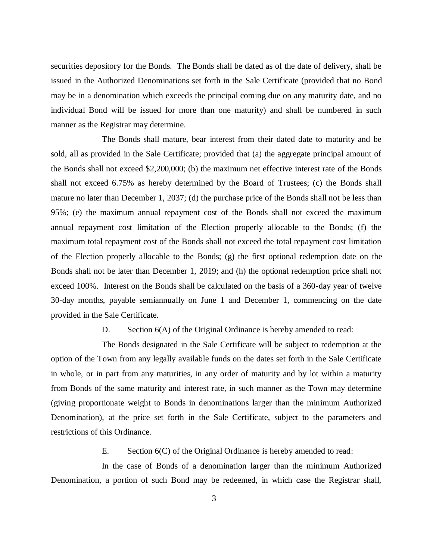securities depository for the Bonds. The Bonds shall be dated as of the date of delivery, shall be issued in the Authorized Denominations set forth in the Sale Certificate (provided that no Bond may be in a denomination which exceeds the principal coming due on any maturity date, and no individual Bond will be issued for more than one maturity) and shall be numbered in such manner as the Registrar may determine.

The Bonds shall mature, bear interest from their dated date to maturity and be sold, all as provided in the Sale Certificate; provided that (a) the aggregate principal amount of the Bonds shall not exceed \$2,200,000; (b) the maximum net effective interest rate of the Bonds shall not exceed 6.75% as hereby determined by the Board of Trustees; (c) the Bonds shall mature no later than December 1, 2037; (d) the purchase price of the Bonds shall not be less than 95%; (e) the maximum annual repayment cost of the Bonds shall not exceed the maximum annual repayment cost limitation of the Election properly allocable to the Bonds; (f) the maximum total repayment cost of the Bonds shall not exceed the total repayment cost limitation of the Election properly allocable to the Bonds; (g) the first optional redemption date on the Bonds shall not be later than December 1, 2019; and (h) the optional redemption price shall not exceed 100%. Interest on the Bonds shall be calculated on the basis of a 360-day year of twelve 30-day months, payable semiannually on June 1 and December 1, commencing on the date provided in the Sale Certificate.

D. Section 6(A) of the Original Ordinance is hereby amended to read:

The Bonds designated in the Sale Certificate will be subject to redemption at the option of the Town from any legally available funds on the dates set forth in the Sale Certificate in whole, or in part from any maturities, in any order of maturity and by lot within a maturity from Bonds of the same maturity and interest rate, in such manner as the Town may determine (giving proportionate weight to Bonds in denominations larger than the minimum Authorized Denomination), at the price set forth in the Sale Certificate, subject to the parameters and restrictions of this Ordinance.

E. Section 6(C) of the Original Ordinance is hereby amended to read:

In the case of Bonds of a denomination larger than the minimum Authorized Denomination, a portion of such Bond may be redeemed, in which case the Registrar shall,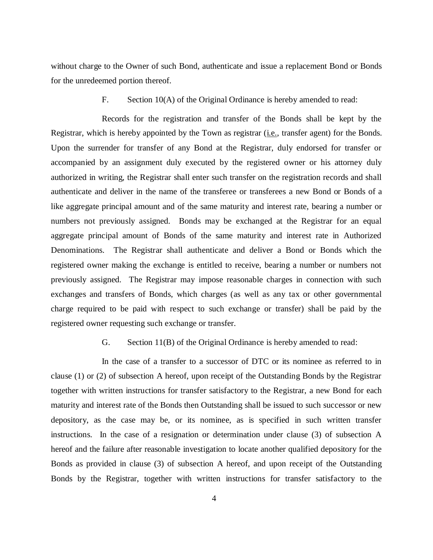without charge to the Owner of such Bond, authenticate and issue a replacement Bond or Bonds for the unredeemed portion thereof.

F. Section 10(A) of the Original Ordinance is hereby amended to read:

Records for the registration and transfer of the Bonds shall be kept by the Registrar, which is hereby appointed by the Town as registrar (*i.e.*, transfer agent) for the Bonds. Upon the surrender for transfer of any Bond at the Registrar, duly endorsed for transfer or accompanied by an assignment duly executed by the registered owner or his attorney duly authorized in writing, the Registrar shall enter such transfer on the registration records and shall authenticate and deliver in the name of the transferee or transferees a new Bond or Bonds of a like aggregate principal amount and of the same maturity and interest rate, bearing a number or numbers not previously assigned. Bonds may be exchanged at the Registrar for an equal aggregate principal amount of Bonds of the same maturity and interest rate in Authorized Denominations. The Registrar shall authenticate and deliver a Bond or Bonds which the registered owner making the exchange is entitled to receive, bearing a number or numbers not previously assigned. The Registrar may impose reasonable charges in connection with such exchanges and transfers of Bonds, which charges (as well as any tax or other governmental charge required to be paid with respect to such exchange or transfer) shall be paid by the registered owner requesting such exchange or transfer.

G. Section 11(B) of the Original Ordinance is hereby amended to read:

In the case of a transfer to a successor of DTC or its nominee as referred to in clause (1) or (2) of subsection A hereof, upon receipt of the Outstanding Bonds by the Registrar together with written instructions for transfer satisfactory to the Registrar, a new Bond for each maturity and interest rate of the Bonds then Outstanding shall be issued to such successor or new depository, as the case may be, or its nominee, as is specified in such written transfer instructions. In the case of a resignation or determination under clause (3) of subsection A hereof and the failure after reasonable investigation to locate another qualified depository for the Bonds as provided in clause (3) of subsection A hereof, and upon receipt of the Outstanding Bonds by the Registrar, together with written instructions for transfer satisfactory to the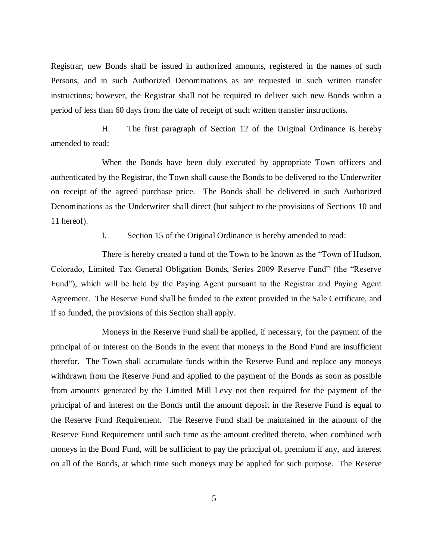Registrar, new Bonds shall be issued in authorized amounts, registered in the names of such Persons, and in such Authorized Denominations as are requested in such written transfer instructions; however, the Registrar shall not be required to deliver such new Bonds within a period of less than 60 days from the date of receipt of such written transfer instructions.

H. The first paragraph of Section 12 of the Original Ordinance is hereby amended to read:

When the Bonds have been duly executed by appropriate Town officers and authenticated by the Registrar, the Town shall cause the Bonds to be delivered to the Underwriter on receipt of the agreed purchase price. The Bonds shall be delivered in such Authorized Denominations as the Underwriter shall direct (but subject to the provisions of Sections 10 and 11 hereof).

I. Section 15 of the Original Ordinance is hereby amended to read:

There is hereby created a fund of the Town to be known as the "Town of Hudson, Colorado, Limited Tax General Obligation Bonds, Series 2009 Reserve Fund" (the "Reserve Fund"), which will be held by the Paying Agent pursuant to the Registrar and Paying Agent Agreement. The Reserve Fund shall be funded to the extent provided in the Sale Certificate, and if so funded, the provisions of this Section shall apply.

Moneys in the Reserve Fund shall be applied, if necessary, for the payment of the principal of or interest on the Bonds in the event that moneys in the Bond Fund are insufficient therefor. The Town shall accumulate funds within the Reserve Fund and replace any moneys withdrawn from the Reserve Fund and applied to the payment of the Bonds as soon as possible from amounts generated by the Limited Mill Levy not then required for the payment of the principal of and interest on the Bonds until the amount deposit in the Reserve Fund is equal to the Reserve Fund Requirement. The Reserve Fund shall be maintained in the amount of the Reserve Fund Requirement until such time as the amount credited thereto, when combined with moneys in the Bond Fund, will be sufficient to pay the principal of, premium if any, and interest on all of the Bonds, at which time such moneys may be applied for such purpose. The Reserve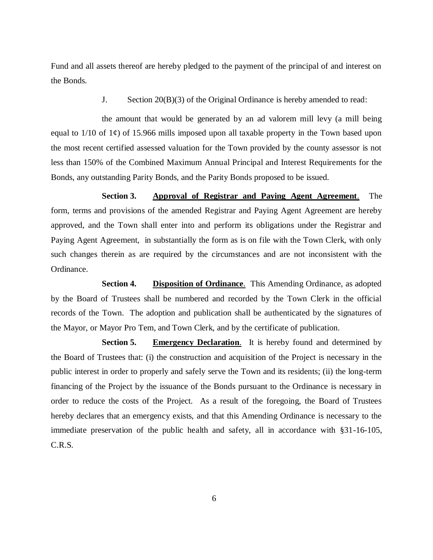Fund and all assets thereof are hereby pledged to the payment of the principal of and interest on the Bonds.

J. Section 20(B)(3) of the Original Ordinance is hereby amended to read:

the amount that would be generated by an ad valorem mill levy (a mill being equal to  $1/10$  of  $1¢$ ) of 15.966 mills imposed upon all taxable property in the Town based upon the most recent certified assessed valuation for the Town provided by the county assessor is not less than 150% of the Combined Maximum Annual Principal and Interest Requirements for the Bonds, any outstanding Parity Bonds, and the Parity Bonds proposed to be issued.

**Section 3. Approval of Registrar and Paying Agent Agreement**. The form, terms and provisions of the amended Registrar and Paying Agent Agreement are hereby approved, and the Town shall enter into and perform its obligations under the Registrar and Paying Agent Agreement, in substantially the form as is on file with the Town Clerk, with only such changes therein as are required by the circumstances and are not inconsistent with the Ordinance.

**Section 4. Disposition of Ordinance**. This Amending Ordinance, as adopted by the Board of Trustees shall be numbered and recorded by the Town Clerk in the official records of the Town. The adoption and publication shall be authenticated by the signatures of the Mayor, or Mayor Pro Tem, and Town Clerk, and by the certificate of publication.

**Section 5. Emergency Declaration**. It is hereby found and determined by the Board of Trustees that: (i) the construction and acquisition of the Project is necessary in the public interest in order to properly and safely serve the Town and its residents; (ii) the long-term financing of the Project by the issuance of the Bonds pursuant to the Ordinance is necessary in order to reduce the costs of the Project. As a result of the foregoing, the Board of Trustees hereby declares that an emergency exists, and that this Amending Ordinance is necessary to the immediate preservation of the public health and safety, all in accordance with §31-16-105, C.R.S.

6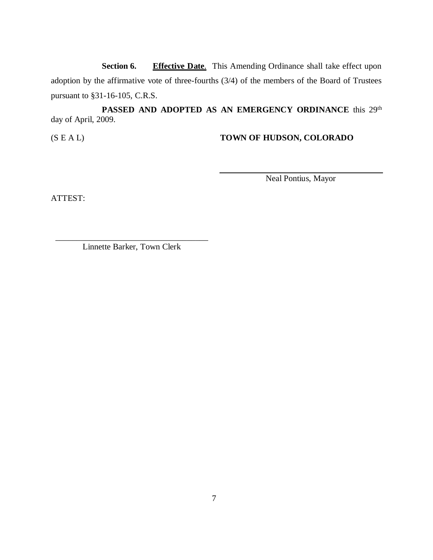**Section 6. Effective Date**. This Amending Ordinance shall take effect upon adoption by the affirmative vote of three-fourths (3/4) of the members of the Board of Trustees pursuant to §31-16-105, C.R.S.

PASSED AND ADOPTED AS AN EMERGENCY ORDINANCE this 29<sup>th</sup> day of April, 2009.

(S E A L) **TOWN OF HUDSON, COLORADO**

Neal Pontius, Mayor

ATTEST:

\_\_\_\_\_\_\_\_\_\_\_\_\_\_\_\_\_\_\_\_\_\_\_\_\_\_\_\_\_\_\_\_\_\_\_\_ Linnette Barker, Town Clerk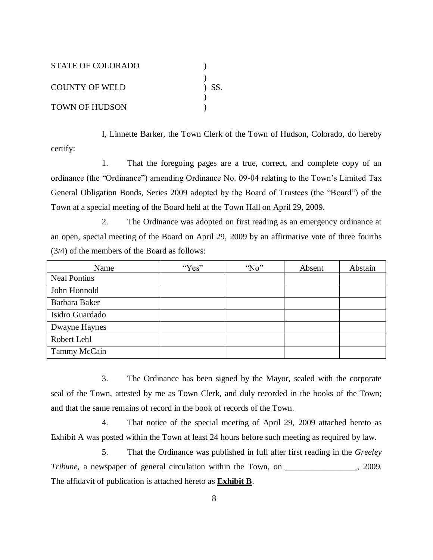| STATE OF COLORADO     |         |
|-----------------------|---------|
|                       |         |
| COUNTY OF WELD        | $)$ SS. |
|                       |         |
| <b>TOWN OF HUDSON</b> |         |

I, Linnette Barker, the Town Clerk of the Town of Hudson, Colorado, do hereby certify:

1. That the foregoing pages are a true, correct, and complete copy of an ordinance (the "Ordinance") amending Ordinance No. 09-04 relating to the Town's Limited Tax General Obligation Bonds, Series 2009 adopted by the Board of Trustees (the "Board") of the Town at a special meeting of the Board held at the Town Hall on April 29, 2009.

2. The Ordinance was adopted on first reading as an emergency ordinance at an open, special meeting of the Board on April 29, 2009 by an affirmative vote of three fourths (3/4) of the members of the Board as follows:

| Name                | "Yes" | $^{\circ}$ No" | Absent | Abstain |
|---------------------|-------|----------------|--------|---------|
| <b>Neal Pontius</b> |       |                |        |         |
| John Honnold        |       |                |        |         |
| Barbara Baker       |       |                |        |         |
| Isidro Guardado     |       |                |        |         |
| Dwayne Haynes       |       |                |        |         |
| Robert Lehl         |       |                |        |         |
| Tammy McCain        |       |                |        |         |

3. The Ordinance has been signed by the Mayor, sealed with the corporate seal of the Town, attested by me as Town Clerk, and duly recorded in the books of the Town; and that the same remains of record in the book of records of the Town.

4. That notice of the special meeting of April 29, 2009 attached hereto as Exhibit  $\overline{A}$  was posted within the Town at least 24 hours before such meeting as required by law.

5. That the Ordinance was published in full after first reading in the *Greeley Tribune*, a newspaper of general circulation within the Town, on \_\_\_\_\_\_\_\_\_\_\_\_\_\_, 2009. The affidavit of publication is attached hereto as **Exhibit B**.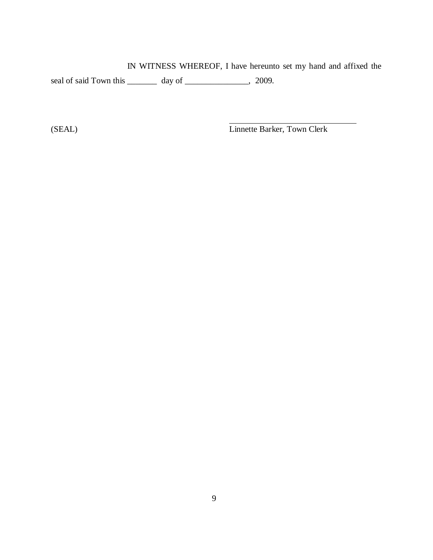IN WITNESS WHEREOF, I have hereunto set my hand and affixed the seal of said Town this \_\_\_\_\_\_\_ day of \_\_\_\_\_\_\_\_\_\_\_\_, 2009.

(SEAL) Linnette Barker, Town Clerk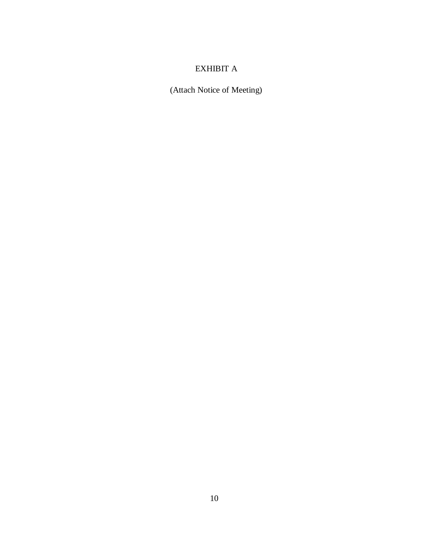## EXHIBIT A

(Attach Notice of Meeting)